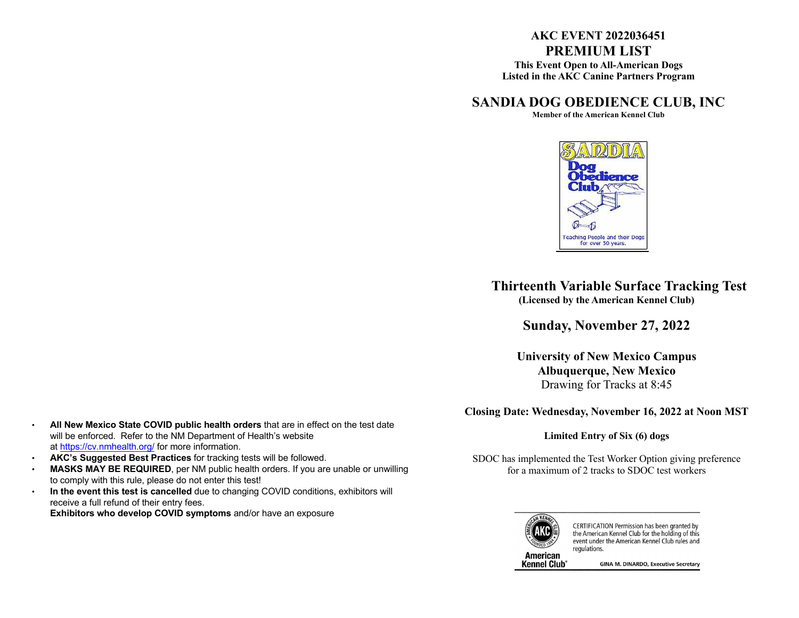# **AKC EVENT 2022036451 PREMIUM LIST**

**This Event Open to All-American Dogs Listed in the AKC Canine Partners Program**

# **SANDIA DOG OBEDIENCE CLUB, INC**

**Member of the American Kennel Club**



 **Thirteenth Variable Surface Tracking Test (Licensed by the American Kennel Club)**

**Sunday, November 27, 2022**

**University of New Mexico Campus Albuquerque, New Mexico** Drawing for Tracks at 8:45

**Closing Date: Wednesday, November 16, 2022 at Noon MST**

### **Limited Entry of Six (6) dogs**

SDOC has implemented the Test Worker Option giving preference for a maximum of 2 tracks to SDOC test workers



CERTIFICATION Permission has been granted by the American Kennel Club for the holding of this event under the American Kennel Club rules and regulations.

**Kennel Club** 

**GINA M. DINARDO, Executive Secretary** 

- **All New Mexico State COVID public health orders** that are in effect on the test date will be enforced. Refer to the NM Department of Health's website at https://cv.nmhealth.org/ for more information.
- **AKC's Suggested Best Practices** for tracking tests will be followed.
- **MASKS MAY BE REQUIRED**, per NM public health orders. If you are unable or unwilling to comply with this rule, please do not enter this test!
- **In the event this test is cancelled** due to changing COVID conditions, exhibitors will receive a full refund of their entry fees.

**Exhibitors who develop COVID symptoms** and/or have an exposure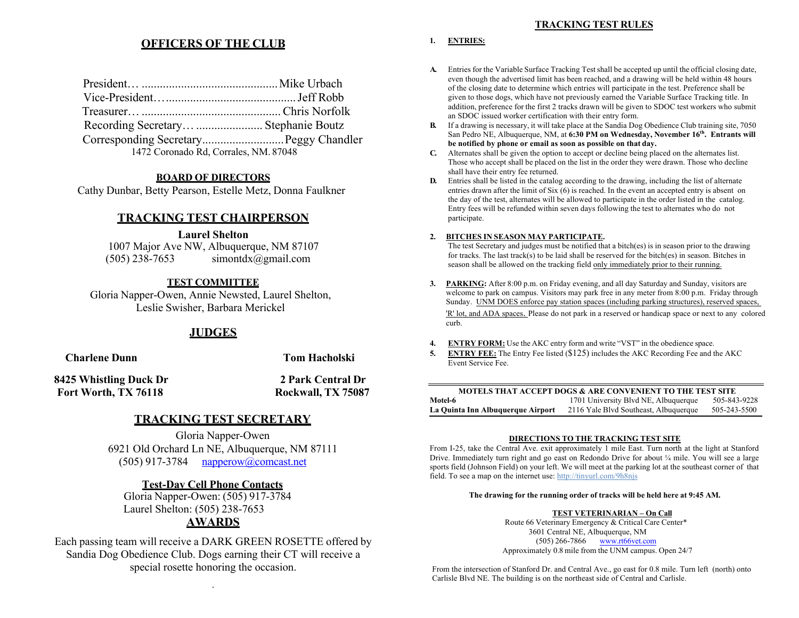### **TRACKING TEST RULES**

# **OFFICERS OF THE CLUB 1. ENTRIES:**

| Recording Secretary  Stephanie Boutz  |  |
|---------------------------------------|--|
|                                       |  |
| 1472 Coronado Rd, Corrales, NM. 87048 |  |

### **BOARD OF DIRECTORS**

Cathy Dunbar, Betty Pearson, Estelle Metz, Donna Faulkner

## **TRACKING TEST CHAIRPERSON**

**Laurel Shelton**

1007 Major Ave NW, Albuquerque, NM 87107  $(505)$  238-7653 simontdx@gmail.com

## **TEST COMMITTEE**

Gloria Napper-Owen, Annie Newsted, Laurel Shelton, Leslie Swisher, Barbara Merickel

## **JUDGES**

**Charlene Dunn Tom Hacholski**

**8425 Whistling Duck Dr 2 Park Central Dr Fort Worth, TX 76118 Rockwall, TX 75087**

# **TRACKING TEST SECRETARY**

Gloria Napper-Owen 6921 Old Orchard Ln NE, Albuquerque, NM 87111 (505) 917-3784  $napperow@$ comcast.net

## **Test-Day Cell Phone Contacts**

Gloria Napper-Owen: (505) 917-3784 Laurel Shelton: (505) 238-7653

# **AWARDS**

Each passing team will receive a DARK GREEN ROSETTE offered by Sandia Dog Obedience Club. Dogs earning their CT will receive a special rosette honoring the occasion.

.

- **A.** Entries for the Variable Surface Tracking Testshall be accepted up until the official closing date, even though the advertised limit has been reached, and a drawing will be held within 48 hours of the closing date to determine which entries will participate in the test. Preference shall be given to those dogs, which have not previously earned the Variable Surface Tracking title. In addition, preference for the first 2 tracks drawn will be given to SDOC test workers who submit an SDOC issued worker certification with their entry form.
- **B.** If a drawing is necessary, it will take place at the Sandia Dog Obedience Club training site, 7050 San Pedro NE, Albuquerque, NM, at **6:30 PM on Wednesday, November 16th. Entrants will be notified by phone or email as soon as possible on that day.**
- **C.** Alternates shall be given the option to accept or decline being placed on the alternates list. Those who accept shall be placed on the list in the order they were drawn. Those who decline shall have their entry fee returned.
- **D.** Entries shall be listed in the catalog according to the drawing, including the list of alternate entries drawn after the limit of Six (6) is reached. In the event an accepted entry is absent on the day of the test, alternates will be allowed to participate in the order listed in the catalog. Entry fees will be refunded within seven days following the test to alternates who do not participate.

### **2. BITCHES IN SEASON MAY PARTICIPATE.**

The test Secretary and judges must be notified that a bitch(es) is in season prior to the drawing for tracks. The last track(s) to be laid shall be reserved for the bitch(es) in season. Bitches in season shall be allowed on the tracking field only immediately prior to their running.

- **3. PARKING:** After 8:00 p.m. on Friday evening, and all day Saturday and Sunday, visitors are welcome to park on campus. Visitors may park free in any meter from 8:00 p.m. Friday through Sunday. UNM DOES enforce pay station spaces (including parking structures), reserved spaces, 'R' lot, and ADA spaces. Please do not park in a reserved or handicap space or next to any colored curb.
- **4. ENTRY FORM:** Use the AKC entry form and write "VST" in the obedience space.
- **5. ENTRY FEE:** The Entry Fee listed (\$125) includes the AKC Recording Fee and the AKC Event Service Fee.

|                                   | <b>MOTELS THAT ACCEPT DOGS &amp; ARE CONVENIENT TO THE TEST SITE</b> |              |
|-----------------------------------|----------------------------------------------------------------------|--------------|
| Motel-6                           | 1701 University Blvd NE, Albuquerque                                 | 505-843-9228 |
| La Quinta Inn Albuquerque Airport | 2116 Yale Blvd Southeast, Albuquerque                                | 505-243-5500 |

### **DIRECTIONS TO THE TRACKING TEST SITE**

From I-25, take the Central Ave. exit approximately 1 mile East. Turn north at the light at Stanford Drive. Immediately turn right and go east on Redondo Drive for about ¼ mile. You will see a large sports field (Johnson Field) on your left. We will meet at the parking lot at the southeast corner of that field. To see a map on the internet use: http://tinyurl.com/9h8njs

### **The drawing for the running order of tracks will be held here at 9:45 AM.**

### **TEST VETERINARIAN – On Call**

Route 66 Veterinary Emergency & Critical Care Center\* 3601 Central NE, Albuquerque, NM (505) 266-7866 www.rt66vet.com Approximately 0.8 mile from the UNM campus. Open 24/7

From the intersection of Stanford Dr. and Central Ave., go east for 0.8 mile. Turn left (north) onto Carlisle Blvd NE. The building is on the northeast side of Central and Carlisle.